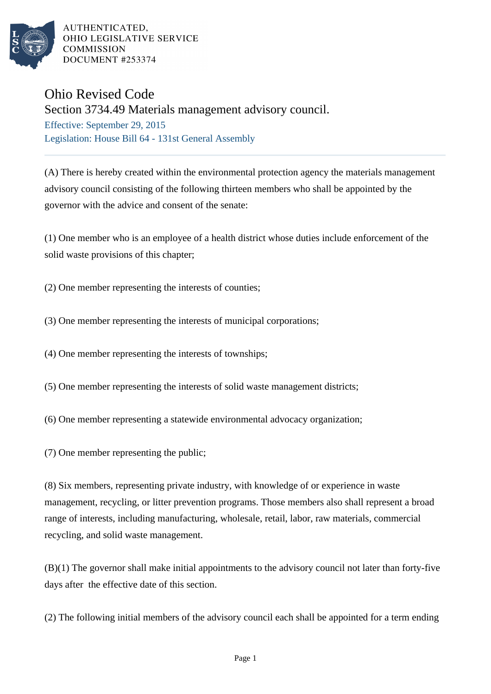

AUTHENTICATED. OHIO LEGISLATIVE SERVICE **COMMISSION** DOCUMENT #253374

## Ohio Revised Code

Section 3734.49 Materials management advisory council.

Effective: September 29, 2015 Legislation: House Bill 64 - 131st General Assembly

(A) There is hereby created within the environmental protection agency the materials management advisory council consisting of the following thirteen members who shall be appointed by the governor with the advice and consent of the senate:

(1) One member who is an employee of a health district whose duties include enforcement of the solid waste provisions of this chapter;

(2) One member representing the interests of counties;

- (3) One member representing the interests of municipal corporations;
- (4) One member representing the interests of townships;
- (5) One member representing the interests of solid waste management districts;
- (6) One member representing a statewide environmental advocacy organization;
- (7) One member representing the public;

(8) Six members, representing private industry, with knowledge of or experience in waste management, recycling, or litter prevention programs. Those members also shall represent a broad range of interests, including manufacturing, wholesale, retail, labor, raw materials, commercial recycling, and solid waste management.

(B)(1) The governor shall make initial appointments to the advisory council not later than forty-five days after the effective date of this section.

(2) The following initial members of the advisory council each shall be appointed for a term ending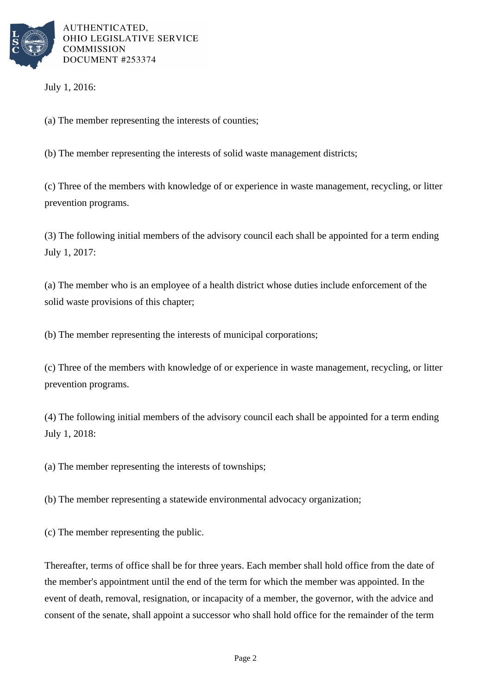

AUTHENTICATED. OHIO LEGISLATIVE SERVICE **COMMISSION** DOCUMENT #253374

July 1, 2016:

(a) The member representing the interests of counties;

(b) The member representing the interests of solid waste management districts;

(c) Three of the members with knowledge of or experience in waste management, recycling, or litter prevention programs.

(3) The following initial members of the advisory council each shall be appointed for a term ending July 1, 2017:

(a) The member who is an employee of a health district whose duties include enforcement of the solid waste provisions of this chapter;

(b) The member representing the interests of municipal corporations;

(c) Three of the members with knowledge of or experience in waste management, recycling, or litter prevention programs.

(4) The following initial members of the advisory council each shall be appointed for a term ending July 1, 2018:

(a) The member representing the interests of townships;

(b) The member representing a statewide environmental advocacy organization;

(c) The member representing the public.

Thereafter, terms of office shall be for three years. Each member shall hold office from the date of the member's appointment until the end of the term for which the member was appointed. In the event of death, removal, resignation, or incapacity of a member, the governor, with the advice and consent of the senate, shall appoint a successor who shall hold office for the remainder of the term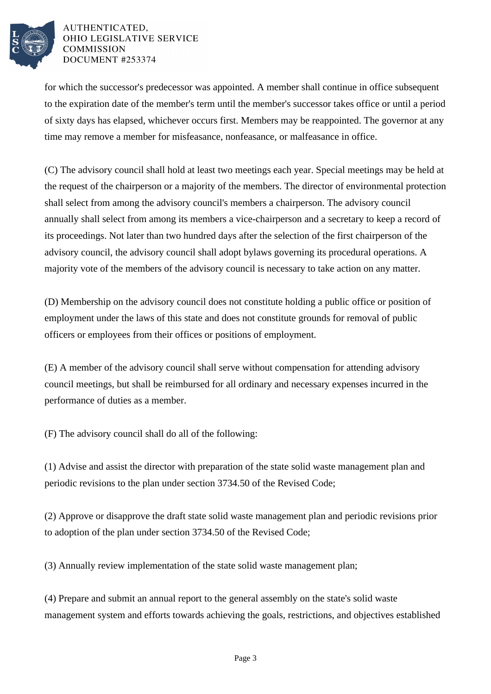

## AUTHENTICATED, OHIO LEGISLATIVE SERVICE **COMMISSION** DOCUMENT #253374

for which the successor's predecessor was appointed. A member shall continue in office subsequent to the expiration date of the member's term until the member's successor takes office or until a period of sixty days has elapsed, whichever occurs first. Members may be reappointed. The governor at any time may remove a member for misfeasance, nonfeasance, or malfeasance in office.

(C) The advisory council shall hold at least two meetings each year. Special meetings may be held at the request of the chairperson or a majority of the members. The director of environmental protection shall select from among the advisory council's members a chairperson. The advisory council annually shall select from among its members a vice-chairperson and a secretary to keep a record of its proceedings. Not later than two hundred days after the selection of the first chairperson of the advisory council, the advisory council shall adopt bylaws governing its procedural operations. A majority vote of the members of the advisory council is necessary to take action on any matter.

(D) Membership on the advisory council does not constitute holding a public office or position of employment under the laws of this state and does not constitute grounds for removal of public officers or employees from their offices or positions of employment.

(E) A member of the advisory council shall serve without compensation for attending advisory council meetings, but shall be reimbursed for all ordinary and necessary expenses incurred in the performance of duties as a member.

(F) The advisory council shall do all of the following:

(1) Advise and assist the director with preparation of the state solid waste management plan and periodic revisions to the plan under section 3734.50 of the Revised Code;

(2) Approve or disapprove the draft state solid waste management plan and periodic revisions prior to adoption of the plan under section 3734.50 of the Revised Code;

(3) Annually review implementation of the state solid waste management plan;

(4) Prepare and submit an annual report to the general assembly on the state's solid waste management system and efforts towards achieving the goals, restrictions, and objectives established